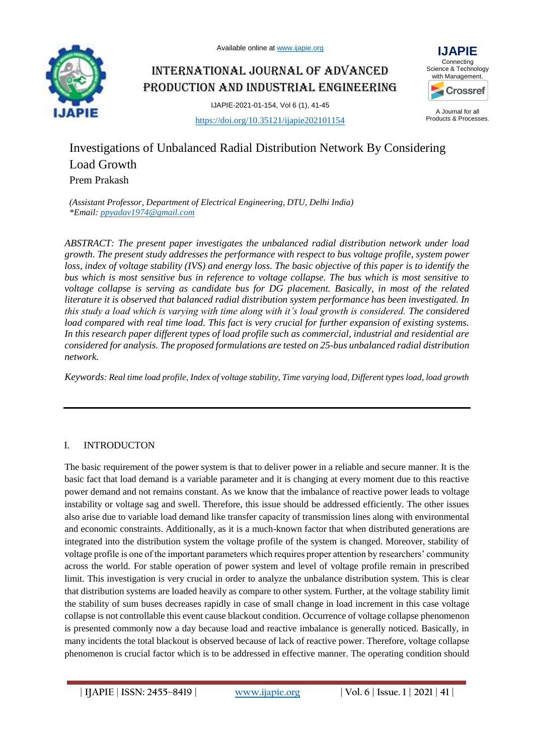

International Journal of Advanced Production and Industrial Engineering

IJAPIE-2021-01-154, Vol 6 (1), 41-45



A Journal for all Products & Processes.

# <https://doi.org/10.35121/ijapie202101154>

# Investigations of Unbalanced Radial Distribution Network By Considering Load Growth Prem Prakash

*(Assistant Professor, Department of Electrical Engineering, DTU, Delhi India) \*Email: [ppyadav1974@gmail.com](mailto:ppyadav1974@gmail.com)*

*ABSTRACT: The present paper investigates the unbalanced radial distribution network under load growth. The present study addresses the performance with respect to bus voltage profile, system power loss, index of voltage stability (IVS) and energy loss. The basic objective of this paper is to identify the bus which is most sensitive bus in reference to voltage collapse. The bus which is most sensitive to voltage collapse is serving as candidate bus for DG placement. Basically, in most of the related literature it is observed that balanced radial distribution system performance has been investigated. In this study a load which is varying with time along with it's load growth is considered. The considered load compared with real time load. This fact is very crucial for further expansion of existing systems. In this research paper different types of load profile such as commercial, industrial and residential are considered for analysis. The proposed formulations are tested on 25-bus unbalanced radial distribution network.*

*Keywords: Real time load profile, Index of voltage stability, Time varying load, Different types load, load growth*

# I. INTRODUCTON

The basic requirement of the power system is that to deliver power in a reliable and secure manner. It is the basic fact that load demand is a variable parameter and it is changing at every moment due to this reactive power demand and not remains constant. As we know that the imbalance of reactive power leads to voltage instability or voltage sag and swell. Therefore, this issue should be addressed efficiently. The other issues also arise due to variable load demand like transfer capacity of transmission lines along with environmental and economic constraints. Additionally, as it is a much-known factor that when distributed generations are integrated into the distribution system the voltage profile of the system is changed. Moreover, stability of voltage profile is one of the important parameters which requires proper attention by researchers' community across the world. For stable operation of power system and level of voltage profile remain in prescribed limit. This investigation is very crucial in order to analyze the unbalance distribution system. This is clear that distribution systems are loaded heavily as compare to other system. Further, at the voltage stability limit the stability of sum buses decreases rapidly in case of small change in load increment in this case voltage collapse is not controllable this event cause blackout condition. Occurrence of voltage collapse phenomenon is presented commonly now a day because load and reactive imbalance is generally noticed. Basically, in many incidents the total blackout is observed because of lack of reactive power. Therefore, voltage collapse phenomenon is crucial factor which is to be addressed in effective manner. The operating condition should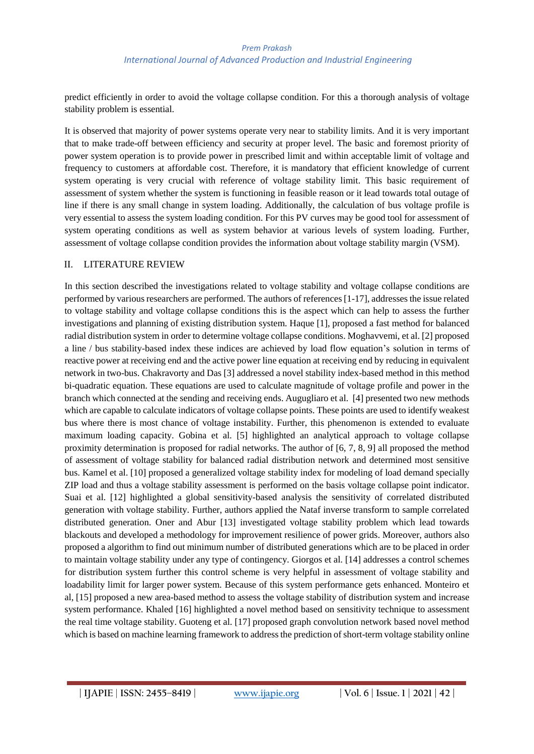### *Prem Prakash International Journal of Advanced Production and Industrial Engineering*

predict efficiently in order to avoid the voltage collapse condition. For this a thorough analysis of voltage stability problem is essential.

It is observed that majority of power systems operate very near to stability limits. And it is very important that to make trade-off between efficiency and security at proper level. The basic and foremost priority of power system operation is to provide power in prescribed limit and within acceptable limit of voltage and frequency to customers at affordable cost. Therefore, it is mandatory that efficient knowledge of current system operating is very crucial with reference of voltage stability limit. This basic requirement of assessment of system whether the system is functioning in feasible reason or it lead towards total outage of line if there is any small change in system loading. Additionally, the calculation of bus voltage profile is very essential to assess the system loading condition. For this PV curves may be good tool for assessment of system operating conditions as well as system behavior at various levels of system loading. Further, assessment of voltage collapse condition provides the information about voltage stability margin (VSM).

### II. LITERATURE REVIEW

In this section described the investigations related to voltage stability and voltage collapse conditions are performed by various researchers are performed. The authors of references [1-17], addresses the issue related to voltage stability and voltage collapse conditions this is the aspect which can help to assess the further investigations and planning of existing distribution system. Haque [1], proposed a fast method for balanced radial distribution system in order to determine voltage collapse conditions. Moghavvemi, et al. [2] proposed a line / bus stability-based index these indices are achieved by load flow equation's solution in terms of reactive power at receiving end and the active power line equation at receiving end by reducing in equivalent network in two-bus. Chakravorty and Das [3] addressed a novel stability index-based method in this method bi-quadratic equation. These equations are used to calculate magnitude of voltage profile and power in the branch which connected at the sending and receiving ends. Augugliaro et al. [4] presented two new methods which are capable to calculate indicators of voltage collapse points. These points are used to identify weakest bus where there is most chance of voltage instability. Further, this phenomenon is extended to evaluate maximum loading capacity. Gobina et al. [5] highlighted an analytical approach to voltage collapse proximity determination is proposed for radial networks. The author of [6, 7, 8, 9] all proposed the method of assessment of voltage stability for balanced radial distribution network and determined most sensitive bus. Kamel et al. [10] proposed a generalized voltage stability index for modeling of load demand specially ZIP load and thus a voltage stability assessment is performed on the basis voltage collapse point indicator. Suai et al. [12] highlighted a global sensitivity-based analysis the sensitivity of correlated distributed generation with voltage stability. Further, authors applied the Nataf inverse transform to sample correlated distributed generation. Oner and Abur [13] investigated voltage stability problem which lead towards blackouts and developed a methodology for improvement resilience of power grids. Moreover, authors also proposed a algorithm to find out minimum number of distributed generations which are to be placed in order to maintain voltage stability under any type of contingency. Giorgos et al. [14] addresses a control schemes for distribution system further this control scheme is very helpful in assessment of voltage stability and loadability limit for larger power system. Because of this system performance gets enhanced. Monteiro et al, [15] proposed a new area-based method to assess the voltage stability of distribution system and increase system performance. Khaled [16] highlighted a novel method based on sensitivity technique to assessment the real time voltage stability. Guoteng et al. [17] proposed graph convolution network based novel method which is based on machine learning framework to address the prediction of short-term voltage stability online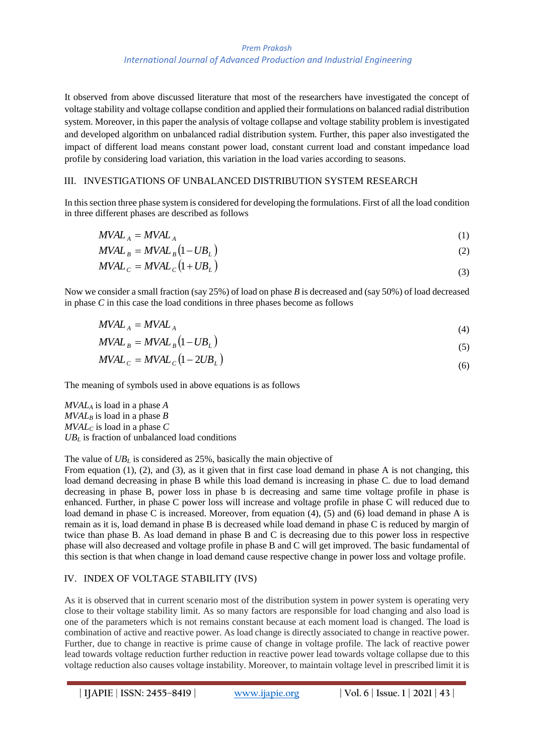### *Prem Prakash International Journal of Advanced Production and Industrial Engineering*

It observed from above discussed literature that most of the researchers have investigated the concept of voltage stability and voltage collapse condition and applied their formulations on balanced radial distribution system. Moreover, in this paper the analysis of voltage collapse and voltage stability problem is investigated and developed algorithm on unbalanced radial distribution system. Further, this paper also investigated the impact of different load means constant power load, constant current load and constant impedance load profile by considering load variation, this variation in the load varies according to seasons.

## III. INVESTIGATIONS OF UNBALANCED DISTRIBUTION SYSTEM RESEARCH

In this section three phase system is considered for developing the formulations. First of all the load condition in three different phases are described as follows

$$
MVAL_A = MVAL_A \tag{1}
$$

$$
MVAL_B = MVAL_B \left(1 - UB_L\right) \tag{2}
$$

$$
MVAL_C = MVAL_C(1 + UB_L)
$$
\n(3)

Now we consider a small fraction (say 25%) of load on phase *B* is decreased and (say 50%) of load decreased in phase *C* in this case the load conditions in three phases become as follows

$$
MVAL_A = MVAL_A \tag{4}
$$

$$
MVAL_{B} = MVAL_{B} (1 - UB_{L})
$$
\n(5)

$$
MVAL_C = MVAL_C(1 - 2UB_L)
$$
\n(6)

The meaning of symbols used in above equations is as follows

*MVAL<sup>A</sup>* is load in a phase *A MVAL<sup>B</sup>* is load in a phase *B MVAL<sup>C</sup>* is load in a phase *C*  $UB<sub>L</sub>$  is fraction of unbalanced load conditions

The value of  $UB<sub>L</sub>$  is considered as 25%, basically the main objective of

From equation (1), (2), and (3), as it given that in first case load demand in phase A is not changing, this load demand decreasing in phase B while this load demand is increasing in phase C. due to load demand decreasing in phase B, power loss in phase b is decreasing and same time voltage profile in phase is enhanced. Further, in phase C power loss will increase and voltage profile in phase C will reduced due to load demand in phase C is increased. Moreover, from equation (4), (5) and (6) load demand in phase A is remain as it is, load demand in phase B is decreased while load demand in phase C is reduced by margin of twice than phase B. As load demand in phase B and C is decreasing due to this power loss in respective phase will also decreased and voltage profile in phase B and C will get improved. The basic fundamental of this section is that when change in load demand cause respective change in power loss and voltage profile.

# IV. INDEX OF VOLTAGE STABILITY (IVS)

As it is observed that in current scenario most of the distribution system in power system is operating very close to their voltage stability limit. As so many factors are responsible for load changing and also load is one of the parameters which is not remains constant because at each moment load is changed. The load is combination of active and reactive power. As load change is directly associated to change in reactive power. Further, due to change in reactive is prime cause of change in voltage profile. The lack of reactive power lead towards voltage reduction further reduction in reactive power lead towards voltage collapse due to this voltage reduction also causes voltage instability. Moreover, to maintain voltage level in prescribed limit it is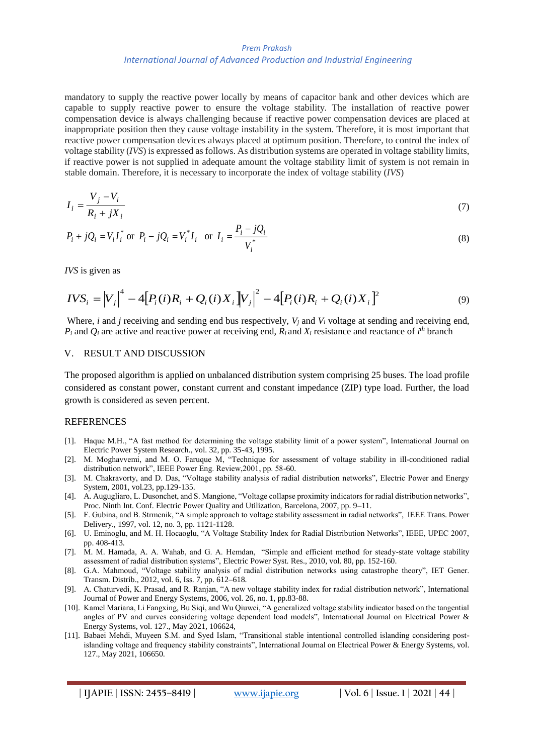#### *Prem Prakash International Journal of Advanced Production and Industrial Engineering*

mandatory to supply the reactive power locally by means of capacitor bank and other devices which are capable to supply reactive power to ensure the voltage stability. The installation of reactive power compensation device is always challenging because if reactive power compensation devices are placed at inappropriate position then they cause voltage instability in the system. Therefore, it is most important that reactive power compensation devices always placed at optimum position. Therefore, to control the index of voltage stability (*IVS*) is expressed as follows. As distribution systems are operated in voltage stability limits, if reactive power is not supplied in adequate amount the voltage stability limit of system is not remain in stable domain. Therefore, it is necessary to incorporate the index of voltage stability (*IVS*)

$$
I_i = \frac{V_j - V_i}{R_i + jX_i} \tag{7}
$$

$$
P_i + jQ_i = V_iI_i^*
$$
 or  $P_i - jQ_i = V_i^*I_i$  or  $I_i = \frac{P_i - jQ_i}{V_i^*}$  (8)

*IVS* is given as

$$
IVS_i = |V_j|^4 - 4[P_i(i)R_i + Q_i(i)X_i] |V_j|^2 - 4[P_i(i)R_i + Q_i(i)X_i]^2
$$
\n(9)

Where, *i* and *j* receiving and sending end bus respectively, *V<sup>j</sup>* and *V<sup>i</sup>* voltage at sending and receiving end,  $P_i$  and  $Q_i$  are active and reactive power at receiving end,  $R_i$  and  $X_i$  resistance and reactance of  $i<sup>th</sup>$  branch

#### V. RESULT AND DISCUSSION

The proposed algorithm is applied on unbalanced distribution system comprising 25 buses. The load profile considered as constant power, constant current and constant impedance (ZIP) type load. Further, the load growth is considered as seven percent.

#### **REFERENCES**

- [1]. Haque M.H., "A fast method for determining the voltage stability limit of a power system", International Journal on Electric Power System Research., vol. 32, pp. 35-43, 1995.
- [2]. M. Moghavvemi, and M. O. Faruque M, "Technique for assessment of voltage stability in ill-conditioned radial distribution network", IEEE Power Eng. Review,2001, pp. 58-60.
- [3]. M. Chakravorty, and D. Das, "Voltage stability analysis of radial distribution networks", Electric Power and Energy System, 2001, vol.23, pp.129-135.
- [4]. A. Augugliaro, L. Dusonchet, and S. Mangione, "Voltage collapse proximity indicators for radial distribution networks", Proc. Ninth Int. Conf. Electric Power Quality and Utilization, Barcelona, 2007, pp. 9–11.
- [5]. F. Gubina, and B. Strmcnik, "A simple approach to voltage stability assessment in radial networks", IEEE Trans. Power Delivery., 1997, vol. 12, no. 3, pp. 1121-1128.
- [6]. U. Eminoglu, and M. H. Hocaoglu, "A Voltage Stability Index for Radial Distribution Networks", IEEE, UPEC 2007, pp. 408-413.
- [7]. M. M. Hamada, A. A. Wahab, and G. A. Hemdan, "Simple and efficient method for steady-state voltage stability assessment of radial distribution systems", Electric Power Syst. Res., 2010, vol. 80, pp. 152-160.
- [8]. G.A. Mahmoud, "Voltage stability analysis of radial distribution networks using catastrophe theory", IET Gener. Transm. Distrib., 2012, vol. 6, Iss. 7, pp. 612–618.
- [9]. A. Chaturvedi, K. Prasad, and R. Ranjan, "A new voltage stability index for radial distribution network", International Journal of Power and Energy Systems, 2006, vol. 26, no. 1, pp.83-88.
- [10]. Kamel Mariana, Li Fangxing, Bu Siqi, and Wu Qiuwei, "A generalized voltage stability indicator based on the tangential angles of PV and curves considering voltage dependent load models", International Journal on Electrical Power & Energy Systems, vol. 127., May 2021, 106624,
- [11]. Babaei Mehdi, Muyeen S.M. and Syed Islam, "Transitional stable intentional controlled islanding considering postislanding voltage and frequency stability constraints", International Journal on Electrical Power & Energy Systems, vol. 127., May 2021, 106650.